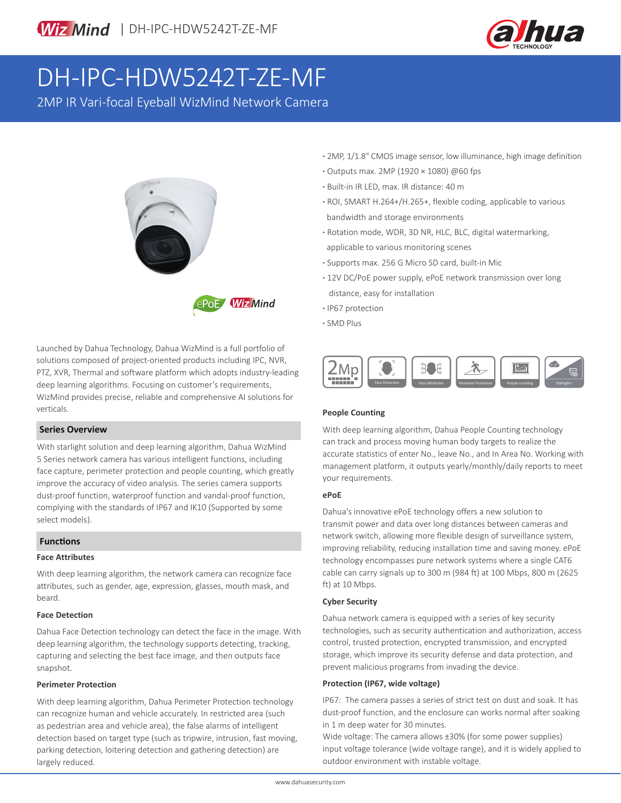

# DH-IPC-HDW5242T-ZE-MF

2MP IR Vari-focal Eyeball WizMind Network Camera





Launched by Dahua Technology, Dahua WizMind is a full portfolio of solutions composed of project-oriented products including IPC, NVR, PTZ, XVR, Thermal and software platform which adopts industry-leading deep learning algorithms. Focusing on customer's requirements, WizMind provides precise, reliable and comprehensive AI solutions for verticals.

#### **Series Overview**

With starlight solution and deep learning algorithm, Dahua WizMind 5 Series network camera has various intelligent functions, including face capture, perimeter protection and people counting, which greatly improve the accuracy of video analysis. The series camera supports dust-proof function, waterproof function and vandal-proof function, complying with the standards of IP67 and IK10 (Supported by some select models).

#### **Functions**

#### **Face Attributes**

With deep learning algorithm, the network camera can recognize face attributes, such as gender, age, expression, glasses, mouth mask, and beard.

#### **Face Detection**

Dahua Face Detection technology can detect the face in the image. With deep learning algorithm, the technology supports detecting, tracking, capturing and selecting the best face image, and then outputs face snapshot.

#### **Perimeter Protection**

With deep learning algorithm, Dahua Perimeter Protection technology can recognize human and vehicle accurately. In restricted area (such as pedestrian area and vehicle area), the false alarms of intelligent detection based on target type (such as tripwire, intrusion, fast moving, parking detection, loitering detection and gathering detection) are largely reduced.

- **·** 2MP, 1/1.8" CMOS image sensor, low illuminance, high image definition
- **·** Outputs max. 2MP (1920 × 1080) @60 fps
- **·** Built-in IR LED, max. IR distance: 40 m
- **·** ROI, SMART H.264+/H.265+, flexible coding, applicable to various bandwidth and storage environments
- **·** Rotation mode, WDR, 3D NR, HLC, BLC, digital watermarking, applicable to various monitoring scenes
- **·** Supports max. 256 G Micro SD card, built-in Mic
- **·** 12V DC/PoE power supply, ePoE network transmission over long distance, easy for installation
- **·** IP67 protection
- **·** SMD Plus



#### **People Counting**

With deep learning algorithm, Dahua People Counting technology can track and process moving human body targets to realize the accurate statistics of enter No., leave No., and In Area No. Working with management platform, it outputs yearly/monthly/daily reports to meet your requirements.

#### **ePoE**

Dahua's innovative ePoE technology offers a new solution to transmit power and data over long distances between cameras and network switch, allowing more flexible design of surveillance system, improving reliability, reducing installation time and saving money. ePoE technology encompasses pure network systems where a single CAT6 cable can carry signals up to 300 m (984 ft) at 100 Mbps, 800 m (2625 ft) at 10 Mbps.

#### **Cyber Security**

Dahua network camera is equipped with a series of key security technologies, such as security authentication and authorization, access control, trusted protection, encrypted transmission, and encrypted storage, which improve its security defense and data protection, and prevent malicious programs from invading the device.

#### **Protection (IP67, wide voltage)**

IP67: The camera passes a series of strict test on dust and soak. It has dust-proof function, and the enclosure can works normal after soaking in 1 m deep water for 30 minutes.

Wide voltage: The camera allows ±30% (for some power supplies) input voltage tolerance (wide voltage range), and it is widely applied to outdoor environment with instable voltage.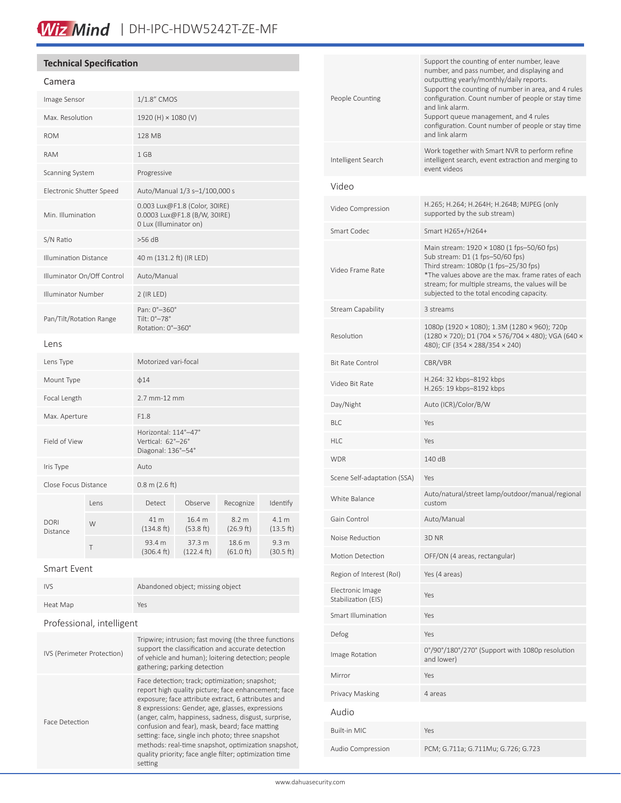# **Technical Specification**

## Camera

| Image Sensor                 |      | 1/1.8" CMOS                                                                             |                                |                     |                               |
|------------------------------|------|-----------------------------------------------------------------------------------------|--------------------------------|---------------------|-------------------------------|
| Max. Resolution              |      | 1920 (H) × 1080 (V)                                                                     |                                |                     |                               |
| <b>ROM</b>                   |      | 128 MB                                                                                  |                                |                     |                               |
| <b>RAM</b>                   |      | 1 GB                                                                                    |                                |                     |                               |
| Scanning System              |      | Progressive                                                                             |                                |                     |                               |
| Electronic Shutter Speed     |      | Auto/Manual 1/3 s-1/100,000 s                                                           |                                |                     |                               |
| Min. Illumination            |      | 0.003 Lux@F1.8 (Color, 30IRE)<br>0.0003 Lux@F1.8 (B/W, 30IRE)<br>0 Lux (Illuminator on) |                                |                     |                               |
| S/N Ratio                    |      | $>56$ dB                                                                                |                                |                     |                               |
| <b>Illumination Distance</b> |      | 40 m (131.2 ft) (IR LED)                                                                |                                |                     |                               |
| Illuminator On/Off Control   |      | Auto/Manual                                                                             |                                |                     |                               |
| <b>Illuminator Number</b>    |      | 2 (IR LED)                                                                              |                                |                     |                               |
| Pan/Tilt/Rotation Range      |      | Pan: 0°-360°<br>Tilt: 0°-78°<br>Rotation: 0°-360°                                       |                                |                     |                               |
| Lens                         |      |                                                                                         |                                |                     |                               |
| Lens Type                    |      | Motorized vari-focal                                                                    |                                |                     |                               |
| Mount Type                   |      | $\phi$ 14                                                                               |                                |                     |                               |
| Focal Length                 |      | 2.7 mm-12 mm                                                                            |                                |                     |                               |
| Max. Aperture                |      | F1.8                                                                                    |                                |                     |                               |
| Field of View                |      | Horizontal: 114°-47°<br>Vertical: 62°-26°<br>Diagonal: 136°-54°                         |                                |                     |                               |
| Iris Type                    |      | Auto                                                                                    |                                |                     |                               |
| Close Focus Distance         |      | $0.8$ m (2.6 ft)                                                                        |                                |                     |                               |
|                              | Lens | Detect                                                                                  | Observe                        | Recognize           | Identify                      |
| <b>DORI</b><br>Distance      | W    | 41 m<br>(134.8 ft)                                                                      | 16.4 m<br>(53.8 ft)            | 8.2 m<br>(26.9 ft)  | 4.1 m<br>(13.5 ft)            |
|                              | T    | 93.4 m<br>(306.4 ft)                                                                    | 37.3 m<br>$(122.4 \text{ ft})$ | 18.6 m<br>(61.0 ft) | 9.3 <sub>m</sub><br>(30.5 ft) |

## Smart Event

| <b>IVS</b> | Abandoned object; missing object |
|------------|----------------------------------|
| Heat Map   | Yes                              |

# Professional, intelligent

| IVS (Perimeter Protection) | Tripwire; intrusion; fast moving (the three functions<br>support the classification and accurate detection<br>of vehicle and human); loitering detection; people<br>gathering; parking detection                                                                                                                                                                                                                                                                                                          |
|----------------------------|-----------------------------------------------------------------------------------------------------------------------------------------------------------------------------------------------------------------------------------------------------------------------------------------------------------------------------------------------------------------------------------------------------------------------------------------------------------------------------------------------------------|
| Face Detection             | Face detection; track; optimization; snapshot;<br>report high quality picture; face enhancement; face<br>exposure; face attribute extract, 6 attributes and<br>8 expressions: Gender, age, glasses, expressions<br>(anger, calm, happiness, sadness, disgust, surprise,<br>confusion and fear), mask, beard; face matting<br>setting: face, single inch photo; three snapshot<br>methods: real-time snapshot, optimization snapshot,<br>quality priority; face angle filter; optimization time<br>setting |

| People Counting                         | Support the counting of enter number, leave<br>number, and pass number, and displaying and<br>outputting yearly/monthly/daily reports.<br>Support the counting of number in area, and 4 rules<br>configuration. Count number of people or stay time<br>and link alarm.<br>Support queue management, and 4 rules<br>configuration. Count number of people or stay time<br>and link alarm |  |  |  |
|-----------------------------------------|-----------------------------------------------------------------------------------------------------------------------------------------------------------------------------------------------------------------------------------------------------------------------------------------------------------------------------------------------------------------------------------------|--|--|--|
| Intelligent Search                      | Work together with Smart NVR to perform refine<br>intelligent search, event extraction and merging to<br>event videos                                                                                                                                                                                                                                                                   |  |  |  |
| Video                                   |                                                                                                                                                                                                                                                                                                                                                                                         |  |  |  |
| Video Compression                       | H.265; H.264; H.264H; H.264B; MJPEG (only<br>supported by the sub stream)                                                                                                                                                                                                                                                                                                               |  |  |  |
| Smart Codec                             | Smart H265+/H264+                                                                                                                                                                                                                                                                                                                                                                       |  |  |  |
| Video Frame Rate                        | Main stream: 1920 × 1080 (1 fps-50/60 fps)<br>Sub stream: D1 (1 fps-50/60 fps)<br>Third stream: 1080p (1 fps-25/30 fps)<br>*The values above are the max. frame rates of each<br>stream; for multiple streams, the values will be<br>subjected to the total encoding capacity.                                                                                                          |  |  |  |
| Stream Capability                       | 3 streams                                                                                                                                                                                                                                                                                                                                                                               |  |  |  |
| Resolution                              | 1080p (1920 × 1080); 1.3M (1280 × 960); 720p<br>(1280 × 720); D1 (704 × 576/704 × 480); VGA (640 ×<br>480); CIF (354 × 288/354 × 240)                                                                                                                                                                                                                                                   |  |  |  |
| <b>Bit Rate Control</b>                 | CBR/VBR                                                                                                                                                                                                                                                                                                                                                                                 |  |  |  |
| Video Bit Rate                          | H.264: 32 kbps-8192 kbps<br>H.265: 19 kbps-8192 kbps                                                                                                                                                                                                                                                                                                                                    |  |  |  |
| Day/Night                               | Auto (ICR)/Color/B/W                                                                                                                                                                                                                                                                                                                                                                    |  |  |  |
| BLC                                     | Yes                                                                                                                                                                                                                                                                                                                                                                                     |  |  |  |
| HLC                                     | Yes                                                                                                                                                                                                                                                                                                                                                                                     |  |  |  |
| WDR                                     | 140 dB                                                                                                                                                                                                                                                                                                                                                                                  |  |  |  |
| Scene Self-adaptation (SSA)             | Yes                                                                                                                                                                                                                                                                                                                                                                                     |  |  |  |
| White Balance                           | Auto/natural/street lamp/outdoor/manual/regional<br>custom                                                                                                                                                                                                                                                                                                                              |  |  |  |
| Gain Control                            | Auto/Manual                                                                                                                                                                                                                                                                                                                                                                             |  |  |  |
| Noise Reduction                         | 3D NR                                                                                                                                                                                                                                                                                                                                                                                   |  |  |  |
| Motion Detection                        | OFF/ON (4 areas, rectangular)                                                                                                                                                                                                                                                                                                                                                           |  |  |  |
| Region of Interest (RoI)                | Yes (4 areas)                                                                                                                                                                                                                                                                                                                                                                           |  |  |  |
| Electronic Image<br>Stabilization (EIS) | Yes                                                                                                                                                                                                                                                                                                                                                                                     |  |  |  |
| Smart Illumination                      | Yes                                                                                                                                                                                                                                                                                                                                                                                     |  |  |  |
| Defog                                   | Yes                                                                                                                                                                                                                                                                                                                                                                                     |  |  |  |
| Image Rotation                          | 0°/90°/180°/270° (Support with 1080p resolution<br>and lower)                                                                                                                                                                                                                                                                                                                           |  |  |  |
| Mirror                                  | Yes                                                                                                                                                                                                                                                                                                                                                                                     |  |  |  |
| Privacy Masking                         | 4 areas                                                                                                                                                                                                                                                                                                                                                                                 |  |  |  |
| Audio                                   |                                                                                                                                                                                                                                                                                                                                                                                         |  |  |  |
| Built-in MIC                            | Yes                                                                                                                                                                                                                                                                                                                                                                                     |  |  |  |
| Audio Compression                       | PCM; G.711a; G.711Mu; G.726; G.723                                                                                                                                                                                                                                                                                                                                                      |  |  |  |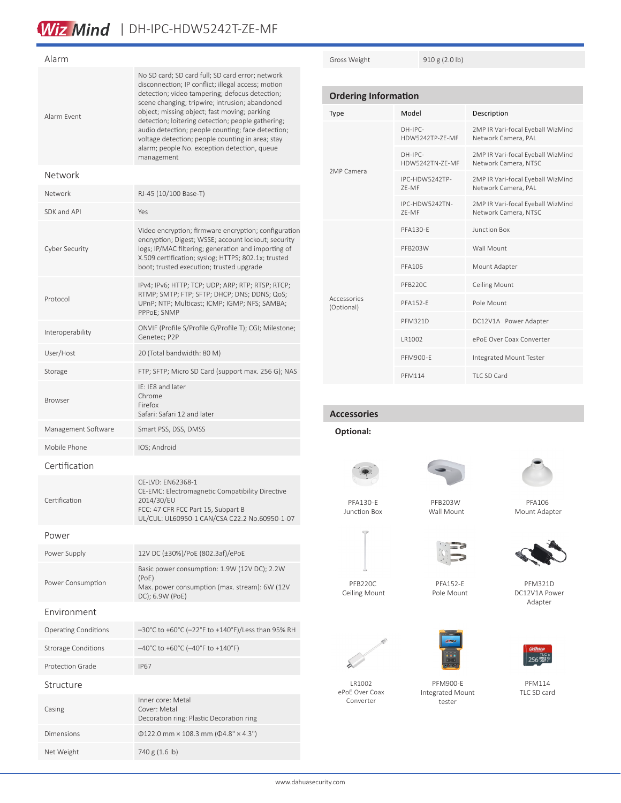# Wiz Mind | DH-IPC-HDW5242T-ZE-MF

| Alarm                       |                                                                                                                                                                                                                                                                                                                                                                                                                                                                                        |  |  |  |
|-----------------------------|----------------------------------------------------------------------------------------------------------------------------------------------------------------------------------------------------------------------------------------------------------------------------------------------------------------------------------------------------------------------------------------------------------------------------------------------------------------------------------------|--|--|--|
| Alarm Event                 | No SD card; SD card full; SD card error; network<br>disconnection; IP conflict; illegal access; motion<br>detection; video tampering; defocus detection;<br>scene changing; tripwire; intrusion; abandoned<br>object; missing object; fast moving; parking<br>detection; loitering detection; people gathering;<br>audio detection; people counting; face detection;<br>voltage detection; people counting in area; stay<br>alarm; people No. exception detection, queue<br>management |  |  |  |
| Network                     |                                                                                                                                                                                                                                                                                                                                                                                                                                                                                        |  |  |  |
| Network                     | RJ-45 (10/100 Base-T)                                                                                                                                                                                                                                                                                                                                                                                                                                                                  |  |  |  |
| SDK and API                 | Yes                                                                                                                                                                                                                                                                                                                                                                                                                                                                                    |  |  |  |
| Cyber Security              | Video encryption; firmware encryption; configuration<br>encryption; Digest; WSSE; account lockout; security<br>logs; IP/MAC filtering; generation and importing of<br>X.509 certification; syslog; HTTPS; 802.1x; trusted<br>boot; trusted execution; trusted upgrade                                                                                                                                                                                                                  |  |  |  |
| Protocol                    | IPv4; IPv6; HTTP; TCP; UDP; ARP; RTP; RTSP; RTCP;<br>RTMP; SMTP; FTP; SFTP; DHCP; DNS; DDNS; QoS;<br>UPnP; NTP; Multicast; ICMP; IGMP; NFS; SAMBA;<br>PPPoE; SNMP                                                                                                                                                                                                                                                                                                                      |  |  |  |
| Interoperability            | ONVIF (Profile S/Profile G/Profile T); CGI; Milestone;<br>Genetec; P2P                                                                                                                                                                                                                                                                                                                                                                                                                 |  |  |  |
| User/Host                   | 20 (Total bandwidth: 80 M)                                                                                                                                                                                                                                                                                                                                                                                                                                                             |  |  |  |
| Storage                     | FTP; SFTP; Micro SD Card (support max. 256 G); NAS                                                                                                                                                                                                                                                                                                                                                                                                                                     |  |  |  |
| <b>Browser</b>              | IE: IE8 and later<br>Chrome<br>Firefox<br>Safari: Safari 12 and later                                                                                                                                                                                                                                                                                                                                                                                                                  |  |  |  |
| Management Software         | Smart PSS, DSS, DMSS                                                                                                                                                                                                                                                                                                                                                                                                                                                                   |  |  |  |
| Mobile Phone                | IOS; Android                                                                                                                                                                                                                                                                                                                                                                                                                                                                           |  |  |  |
| Certification               |                                                                                                                                                                                                                                                                                                                                                                                                                                                                                        |  |  |  |
| Certification               | CE-LVD: EN62368-1<br>CE-EMC: Electromagnetic Compatibility Directive<br>2014/30/EU<br>FCC: 47 CFR FCC Part 15, Subpart B<br>UL/CUL: UL60950-1 CAN/CSA C22.2 No.60950-1-07                                                                                                                                                                                                                                                                                                              |  |  |  |
| Power                       |                                                                                                                                                                                                                                                                                                                                                                                                                                                                                        |  |  |  |
| Power Supply                | 12V DC (±30%)/PoE (802.3af)/ePoE                                                                                                                                                                                                                                                                                                                                                                                                                                                       |  |  |  |
| Power Consumption           | Basic power consumption: 1.9W (12V DC); 2.2W<br>(PoE)<br>Max. power consumption (max. stream): 6W (12V<br>DC); 6.9W (PoE)                                                                                                                                                                                                                                                                                                                                                              |  |  |  |
| Environment                 |                                                                                                                                                                                                                                                                                                                                                                                                                                                                                        |  |  |  |
| <b>Operating Conditions</b> | -30°C to +60°C (-22°F to +140°F)/Less than 95% RH                                                                                                                                                                                                                                                                                                                                                                                                                                      |  |  |  |
| <b>Strorage Conditions</b>  | $-40^{\circ}$ C to +60 $^{\circ}$ C (-40 $^{\circ}$ F to +140 $^{\circ}$ F)                                                                                                                                                                                                                                                                                                                                                                                                            |  |  |  |
| Protection Grade            | <b>IP67</b>                                                                                                                                                                                                                                                                                                                                                                                                                                                                            |  |  |  |
| Structure                   |                                                                                                                                                                                                                                                                                                                                                                                                                                                                                        |  |  |  |
| Casing                      | Inner core: Metal<br>Cover: Metal<br>Decoration ring: Plastic Decoration ring                                                                                                                                                                                                                                                                                                                                                                                                          |  |  |  |
| Dimensions                  | $\Phi$ 122.0 mm × 108.3 mm ( $\Phi$ 4.8" × 4.3")                                                                                                                                                                                                                                                                                                                                                                                                                                       |  |  |  |

Net Weight 740 g (1.6 lb)

Gross Weight 910 g (2.0 lb)

| <b>Ordering Information</b> |                              |                                                           |  |  |
|-----------------------------|------------------------------|-----------------------------------------------------------|--|--|
| Type                        | Model                        | Description                                               |  |  |
|                             | $DH-IPC-$<br>HDW5242TP-7F-MF | 2MP IR Vari-focal Eyeball WizMind<br>Network Camera, PAL  |  |  |
|                             | $DH-IPC-$<br>HDW5242TN-ZE-MF | 2MP IR Vari-focal Eyeball WizMind<br>Network Camera, NTSC |  |  |
| 2MP Camera                  | IPC-HDW5242TP-<br>7F-MF      | 2MP IR Vari-focal Eyeball WizMind<br>Network Camera, PAL  |  |  |
|                             | IPC-HDW5242TN-<br>7F-MF      | 2MP IR Vari-focal Eyeball WizMind<br>Network Camera, NTSC |  |  |
|                             | PFA130-F                     | Junction Box                                              |  |  |
|                             | PFB203W                      | Wall Mount                                                |  |  |
|                             | PFA106                       | Mount Adapter                                             |  |  |
|                             | PFB220C                      | Ceiling Mount                                             |  |  |
| Accessories<br>(Optional)   | <b>PFA152-F</b>              | Pole Mount                                                |  |  |
|                             | PFM321D                      | DC12V1A Power Adapter                                     |  |  |
|                             | I R1002                      | ePoF Over Coax Converter                                  |  |  |
|                             | PFM900-F                     | Integrated Mount Tester                                   |  |  |
|                             | <b>PFM114</b>                | TLC SD Card                                               |  |  |

**Accessories**

**Optional:**



PFA130-E Junction Box

PFB220C Ceiling Mount

LR1002 ePoE Over Coax Converter

ゝ





PFA152-E Pole Mount

PFM900-E Integrated Mount tester

PFA106 Mount Adapter



PFM321D DC12V1A Power Adapter



PFM114 TLC SD card